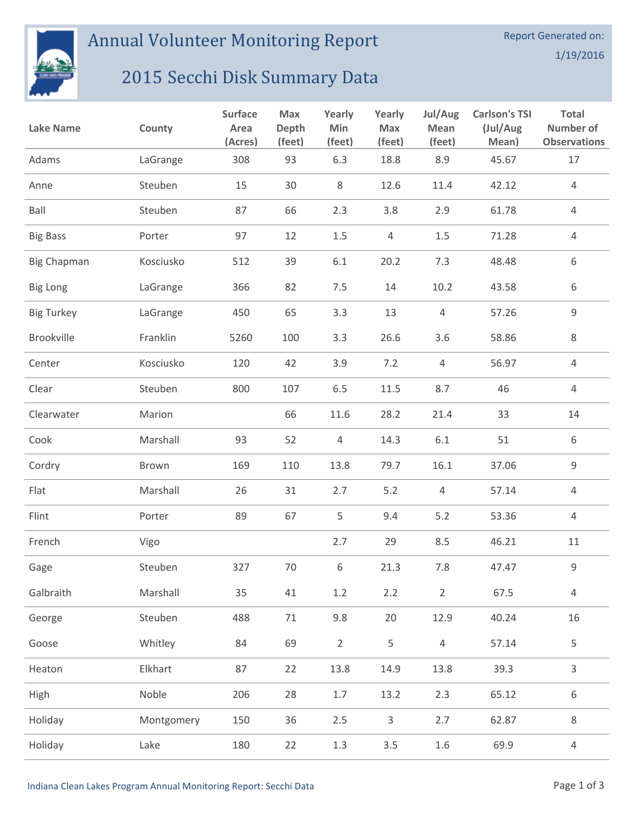

## Annual Volunteer Monitoring Report

## 2015 Secchi Disk Summary Data

| <b>Lake Name</b>   | County     | <b>Surface</b><br>Area<br>(Acres) | Max<br>Depth<br>(feet) | Yearly<br>Min<br>(feet) | Yearly<br><b>Max</b><br>(feet) | Jul/Aug<br><b>Mean</b><br>(feet) | <b>Carlson's TSI</b><br>(Jul/Aug<br>Mean) | Total<br><b>Number of</b><br><b>Observations</b> |
|--------------------|------------|-----------------------------------|------------------------|-------------------------|--------------------------------|----------------------------------|-------------------------------------------|--------------------------------------------------|
| Adams              | LaGrange   | 308                               | 93                     | 6.3                     | 18.8                           | 8.9                              | 45.67                                     | 17                                               |
| Anne               | Steuben    | 15                                | 30                     | 8                       | 12.6                           | 11.4                             | 42.12                                     | 4                                                |
| Ball               | Steuben    | 87                                | 66                     | 2.3                     | 3.8                            | 2.9                              | 61.78                                     | $\overline{4}$                                   |
| <b>Big Bass</b>    | Porter     | 97                                | 12                     | 1.5                     | $\overline{4}$                 | 1.5                              | 71.28                                     | $\overline{4}$                                   |
| <b>Big Chapman</b> | Kosciusko  | 512                               | 39                     | $6.1\,$                 | 20.2                           | 7.3                              | 48.48                                     | $\,6\,$                                          |
| <b>Big Long</b>    | LaGrange   | 366                               | 82                     | 7.5                     | 14                             | 10.2                             | 43.58                                     | 6                                                |
| <b>Big Turkey</b>  | LaGrange   | 450                               | 65                     | 3.3                     | 13                             | $\overline{4}$                   | 57.26                                     | $\mathsf 9$                                      |
| Brookville         | Franklin   | 5260                              | 100                    | 3.3                     | 26.6                           | 3.6                              | 58.86                                     | $8\,$                                            |
| Center             | Kosciusko  | 120                               | 42                     | 3.9                     | 7.2                            | $\overline{4}$                   | 56.97                                     | $\overline{4}$                                   |
| Clear              | Steuben    | 800                               | 107                    | 6.5                     | 11.5                           | 8.7                              | 46                                        | 4                                                |
| Clearwater         | Marion     |                                   | 66                     | 11.6                    | 28.2                           | 21.4                             | 33                                        | 14                                               |
| Cook               | Marshall   | 93                                | 52                     | 4                       | 14.3                           | 6.1                              | 51                                        | 6                                                |
| Cordry             | Brown      | 169                               | 110                    | 13.8                    | 79.7                           | 16.1                             | 37.06                                     | $\mathsf g$                                      |
| Flat               | Marshall   | 26                                | 31                     | 2.7                     | 5.2                            | $\overline{4}$                   | 57.14                                     | $\overline{4}$                                   |
| Flint              | Porter     | 89                                | 67                     | 5                       | 9.4                            | 5.2                              | 53.36                                     | $\overline{4}$                                   |
| French             | Vigo       |                                   |                        | 2.7                     | 29                             | 8.5                              | 46.21                                     | 11                                               |
| Gage               | Steuben    | 327                               | 70                     | 6                       | 21.3                           | 7.8                              | 47.47                                     | 9                                                |
| Galbraith          | Marshall   | 35                                | 41                     | $1.2\,$                 | 2.2                            | $\overline{2}$                   | 67.5                                      | $\overline{4}$                                   |
| George             | Steuben    | 488                               | $71\,$                 | 9.8                     | 20                             | 12.9                             | 40.24                                     | 16                                               |
| Goose              | Whitley    | 84                                | 69                     | $\overline{2}$          | 5                              | $\sqrt{4}$                       | 57.14                                     | 5                                                |
| Heaton             | Elkhart    | 87                                | 22                     | 13.8                    | 14.9                           | 13.8                             | 39.3                                      | 3                                                |
| High               | Noble      | 206                               | 28                     | $1.7\,$                 | 13.2                           | 2.3                              | 65.12                                     | 6                                                |
| Holiday            | Montgomery | 150                               | 36                     | 2.5                     | 3                              | 2.7                              | 62.87                                     | $\,8\,$                                          |
| Holiday            | Lake       | 180                               | 22                     | $1.3\,$                 | 3.5                            | 1.6                              | 69.9                                      | $\overline{4}$                                   |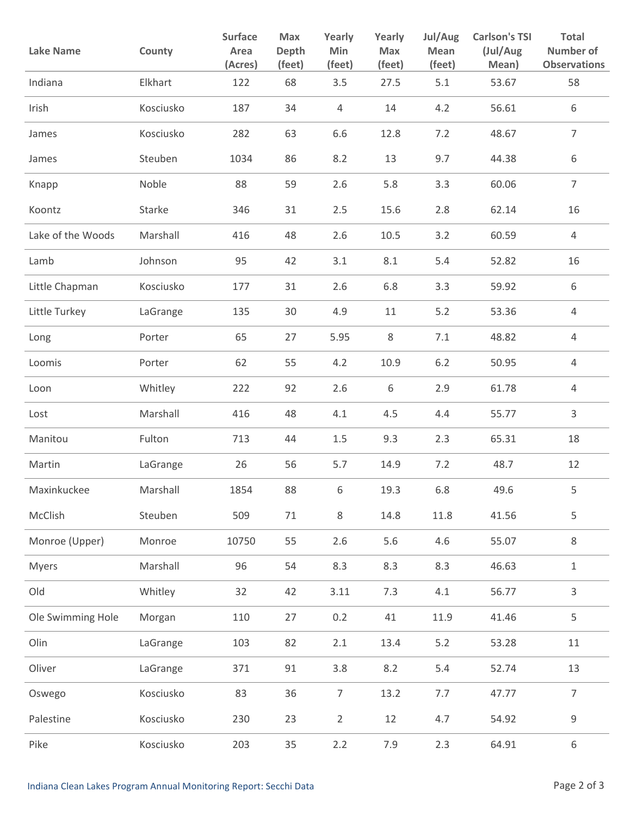| <b>Lake Name</b>  | County    | <b>Surface</b><br>Area<br>(Acres) | Max<br>Depth<br>(feet) | Yearly<br>Min<br>(feet) | Yearly<br>Max<br>(feet) | Jul/Aug<br>Mean<br>(feet) | <b>Carlson's TSI</b><br>(Jul/Aug<br>Mean) | <b>Total</b><br><b>Number of</b><br><b>Observations</b> |
|-------------------|-----------|-----------------------------------|------------------------|-------------------------|-------------------------|---------------------------|-------------------------------------------|---------------------------------------------------------|
| Indiana           | Elkhart   | 122                               | 68                     | 3.5                     | 27.5                    | 5.1                       | 53.67                                     | 58                                                      |
| Irish             | Kosciusko | 187                               | 34                     | 4                       | 14                      | 4.2                       | 56.61                                     | 6                                                       |
| James             | Kosciusko | 282                               | 63                     | 6.6                     | 12.8                    | 7.2                       | 48.67                                     | $\overline{7}$                                          |
| James             | Steuben   | 1034                              | 86                     | 8.2                     | 13                      | 9.7                       | 44.38                                     | 6                                                       |
| Knapp             | Noble     | 88                                | 59                     | 2.6                     | 5.8                     | 3.3                       | 60.06                                     | $\overline{7}$                                          |
| Koontz            | Starke    | 346                               | 31                     | 2.5                     | 15.6                    | 2.8                       | 62.14                                     | 16                                                      |
| Lake of the Woods | Marshall  | 416                               | 48                     | 2.6                     | 10.5                    | 3.2                       | 60.59                                     | $\overline{4}$                                          |
| Lamb              | Johnson   | 95                                | 42                     | 3.1                     | 8.1                     | 5.4                       | 52.82                                     | 16                                                      |
| Little Chapman    | Kosciusko | 177                               | 31                     | 2.6                     | 6.8                     | 3.3                       | 59.92                                     | 6                                                       |
| Little Turkey     | LaGrange  | 135                               | 30                     | 4.9                     | 11                      | 5.2                       | 53.36                                     | 4                                                       |
| Long              | Porter    | 65                                | 27                     | 5.95                    | 8                       | 7.1                       | 48.82                                     | 4                                                       |
| Loomis            | Porter    | 62                                | 55                     | 4.2                     | 10.9                    | $6.2$                     | 50.95                                     | $\overline{4}$                                          |
| Loon              | Whitley   | 222                               | 92                     | 2.6                     | 6                       | 2.9                       | 61.78                                     | $\overline{4}$                                          |
| Lost              | Marshall  | 416                               | 48                     | 4.1                     | 4.5                     | 4.4                       | 55.77                                     | 3                                                       |
| Manitou           | Fulton    | 713                               | 44                     | $1.5\,$                 | 9.3                     | 2.3                       | 65.31                                     | 18                                                      |
| Martin            | LaGrange  | 26                                | 56                     | 5.7                     | 14.9                    | 7.2                       | 48.7                                      | 12                                                      |
| Maxinkuckee       | Marshall  | 1854                              | 88                     | 6                       | 19.3                    | 6.8                       | 49.6                                      | 5                                                       |
| McClish           | Steuben   | 509                               | 71                     | $\,8\,$                 | 14.8                    | 11.8                      | 41.56                                     | 5                                                       |
| Monroe (Upper)    | Monroe    | 10750                             | 55                     | 2.6                     | 5.6                     | 4.6                       | 55.07                                     | $\,8\,$                                                 |
| <b>Myers</b>      | Marshall  | 96                                | 54                     | 8.3                     | 8.3                     | 8.3                       | 46.63                                     | $\mathbf 1$                                             |
| Old               | Whitley   | 32                                | 42                     | 3.11                    | 7.3                     | 4.1                       | 56.77                                     | 3                                                       |
| Ole Swimming Hole | Morgan    | 110                               | 27                     | 0.2                     | 41                      | 11.9                      | 41.46                                     | 5                                                       |
| Olin              | LaGrange  | 103                               | 82                     | 2.1                     | 13.4                    | 5.2                       | 53.28                                     | 11                                                      |
| Oliver            | LaGrange  | 371                               | 91                     | 3.8                     | 8.2                     | 5.4                       | 52.74                                     | 13                                                      |
| Oswego            | Kosciusko | 83                                | 36                     | $\overline{7}$          | 13.2                    | 7.7                       | 47.77                                     | $\overline{7}$                                          |
| Palestine         | Kosciusko | 230                               | 23                     | $\overline{2}$          | 12                      | 4.7                       | 54.92                                     | 9                                                       |
| Pike              | Kosciusko | 203                               | 35                     | 2.2                     | 7.9                     | 2.3                       | 64.91                                     | 6                                                       |